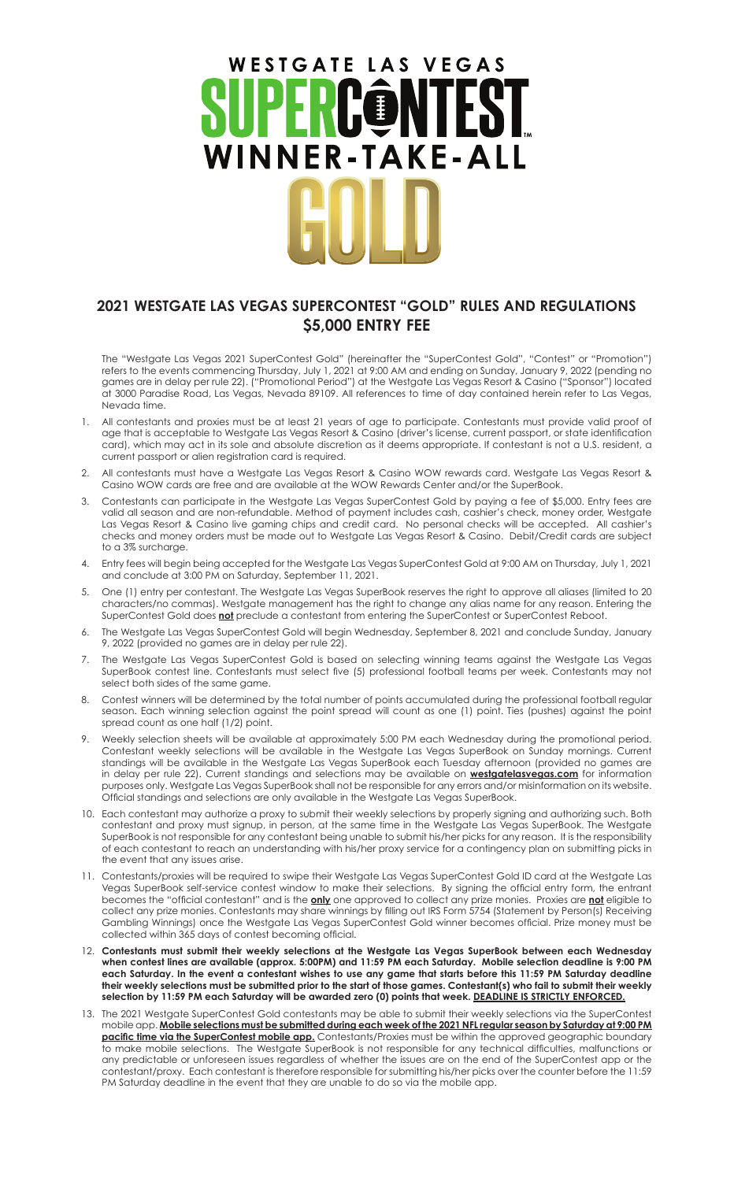## WESTGATE LAS VEGAS **INNER-TAKE-ALL**

## **2021 WESTGATE LAS VEGAS SUPERCONTEST "GOLD" RULES AND REGULATIONS \$5,000 ENTRY FEE**

The "Westgate Las Vegas 2021 SuperContest Gold" (hereinafter the "SuperContest Gold", "Contest" or "Promotion") refers to the events commencing Thursday, July 1, 2021 at 9:00 AM and ending on Sunday, January 9, 2022 (pending no games are in delay per rule 22). ("Promotional Period") at the Westgate Las Vegas Resort & Casino ("Sponsor") located at 3000 Paradise Road, Las Vegas, Nevada 89109. All references to time of day contained herein refer to Las Vegas, Nevada time.

- 1. All contestants and proxies must be at least 21 years of age to participate. Contestants must provide valid proof of age that is acceptable to Westgate Las Vegas Resort & Casino (driver's license, current passport, or state identification card), which may act in its sole and absolute discretion as it deems appropriate. If contestant is not a U.S. resident, a current passport or alien registration card is required.
- 2. All contestants must have a Westgate Las Vegas Resort & Casino WOW rewards card. Westgate Las Vegas Resort & Casino WOW cards are free and are available at the WOW Rewards Center and/or the SuperBook.
- 3. Contestants can participate in the Westgate Las Vegas SuperContest Gold by paying a fee of \$5,000. Entry fees are valid all season and are non-refundable. Method of payment includes cash, cashier's check, money order, Westgate Las Vegas Resort & Casino live gaming chips and credit card. No personal checks will be accepted. All cashier's checks and money orders must be made out to Westgate Las Vegas Resort & Casino. Debit/Credit cards are subject to a 3% surcharge.
- 4. Entry fees will begin being accepted for the Westgate Las Vegas SuperContest Gold at 9:00 AM on Thursday, July 1, 2021 and conclude at 3:00 PM on Saturday, September 11, 2021.
- 5. One (1) entry per contestant. The Westgate Las Vegas SuperBook reserves the right to approve all aliases (limited to 20 characters/no commas). Westgate management has the right to change any alias name for any reason. Entering the SuperContest Gold does **not** preclude a contestant from entering the SuperContest or SuperContest Reboot.
- 6. The Westgate Las Vegas SuperContest Gold will begin Wednesday, September 8, 2021 and conclude Sunday, January 9, 2022 (provided no games are in delay per rule 22).
- 7. The Westgate Las Vegas SuperContest Gold is based on selecting winning teams against the Westgate Las Vegas SuperBook contest line. Contestants must select five (5) professional football teams per week. Contestants may not select both sides of the same game.
- Contest winners will be determined by the total number of points accumulated during the professional football regular season. Each winning selection against the point spread will count as one (1) point. Ties (pushes) against the point spread count as one half (1/2) point.
- Weekly selection sheets will be available at approximately 5:00 PM each Wednesday during the promotional period. Contestant weekly selections will be available in the Westgate Las Vegas SuperBook on Sunday mornings. Current standings will be available in the Westgate Las Vegas SuperBook each Tuesday afternoon (provided no games are in delay per rule 22). Current standings and selections may be available on **westgatelasvegas.com** for information purposes only. Westgate Las Vegas SuperBook shall not be responsible for any errors and/or misinformation on its website. Official standings and selections are only available in the Westgate Las Vegas SuperBook.
- 10. Each contestant may authorize a proxy to submit their weekly selections by properly signing and authorizing such. Both contestant and proxy must signup, in person, at the same time in the Westgate Las Vegas SuperBook. The Westgate SuperBook is not responsible for any contestant being unable to submit his/her picks for any reason. It is the responsibility of each contestant to reach an understanding with his/her proxy service for a contingency plan on submitting picks in the event that any issues arise.
- 11. Contestants/proxies will be required to swipe their Westgate Las Vegas SuperContest Gold ID card at the Westgate Las Vegas SuperBook self-service contest window to make their selections. By signing the official entry form, the entrant becomes the "official contestant" and is the **only** one approved to collect any prize monies. Proxies are **not** eligible to collect any prize monies. Contestants may share winnings by filling out IRS Form 5754 (Statement by Person(s) Receiving Gambling Winnings) once the Westgate Las Vegas SuperContest Gold winner becomes official. Prize money must be collected within 365 days of contest becoming official.
- 12. **Contestants must submit their weekly selections at the Westgate Las Vegas SuperBook between each Wednesday when contest lines are available (approx. 5:00PM) and 11:59 PM each Saturday. Mobile selection deadline is 9:00 PM each Saturday. In the event a contestant wishes to use any game that starts before this 11:59 PM Saturday deadline their weekly selections must be submitted prior to the start of those games. Contestant(s) who fail to submit their weekly selection by 11:59 PM each Saturday will be awarded zero (0) points that week. DEADLINE IS STRICTLY ENFORCED.**
- 13. The 2021 Westgate SuperContest Gold contestants may be able to submit their weekly selections via the SuperContest mobile app. **Mobile selections must be submitted during each week of the 2021 NFL regular season by Saturday at 9:00 PM pacific time via the SuperContest mobile app.** Contestants/Proxies must be within the approved geographic boundary to make mobile selections. The Westgate SuperBook is not responsible for any technical difficulties, malfunctions or any predictable or unforeseen issues regardless of whether the issues are on the end of the SuperContest app or the contestant/proxy. Each contestant is therefore responsible for submitting his/her picks over the counter before the 11:59 PM Saturday deadline in the event that they are unable to do so via the mobile app.